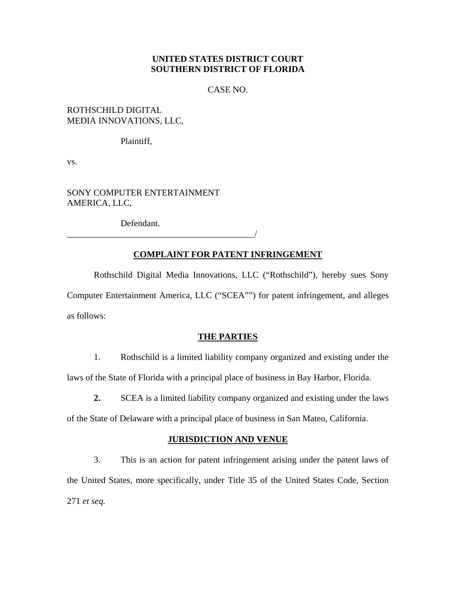# **UNITED STATES DISTRICT COURT SOUTHERN DISTRICT OF FLORIDA**

CASE NO.

### ROTHSCHILD DIGITAL MEDIA INNOVATIONS, LLC,

Plaintiff,

vs.

SONY COMPUTER ENTERTAINMENT AMERICA, LLC,

Defendant.

\_\_\_\_\_\_\_\_\_\_\_\_\_\_\_\_\_\_\_\_\_\_\_\_\_\_\_\_\_\_\_\_\_\_\_\_\_\_\_\_\_\_/

# **COMPLAINT FOR PATENT INFRINGEMENT**

Rothschild Digital Media Innovations, LLC ("Rothschild"), hereby sues Sony Computer Entertainment America, LLC ("SCEA"") for patent infringement, and alleges as follows:

### **THE PARTIES**

1. Rothschild is a limited liability company organized and existing under the laws of the State of Florida with a principal place of business in Bay Harbor, Florida.

**2.** SCEA is a limited liability company organized and existing under the laws

of the State of Delaware with a principal place of business in San Mateo, California.

### **JURISDICTION AND VENUE**

3. This is an action for patent infringement arising under the patent laws of the United States, more specifically, under Title 35 of the United States Code, Section 271 *et seq.*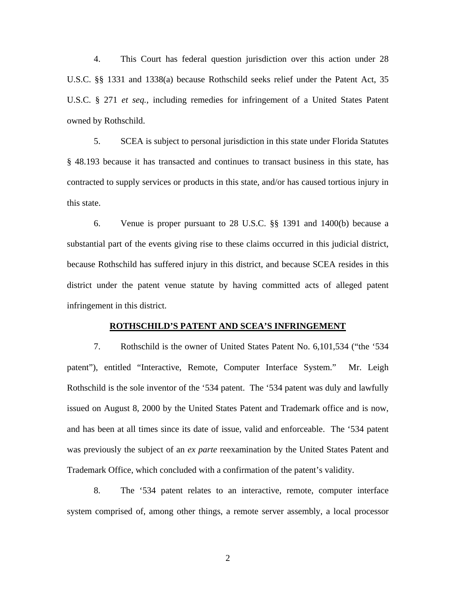4. This Court has federal question jurisdiction over this action under 28 U.S.C. §§ 1331 and 1338(a) because Rothschild seeks relief under the Patent Act, 35 U.S.C. § 271 *et seq.*, including remedies for infringement of a United States Patent owned by Rothschild.

5. SCEA is subject to personal jurisdiction in this state under Florida Statutes § 48.193 because it has transacted and continues to transact business in this state, has contracted to supply services or products in this state, and/or has caused tortious injury in this state.

6. Venue is proper pursuant to 28 U.S.C. §§ 1391 and 1400(b) because a substantial part of the events giving rise to these claims occurred in this judicial district, because Rothschild has suffered injury in this district, and because SCEA resides in this district under the patent venue statute by having committed acts of alleged patent infringement in this district.

#### **ROTHSCHILD'S PATENT AND SCEA'S INFRINGEMENT**

7. Rothschild is the owner of United States Patent No. 6,101,534 ("the '534 patent"), entitled "Interactive, Remote, Computer Interface System." Mr. Leigh Rothschild is the sole inventor of the '534 patent. The '534 patent was duly and lawfully issued on August 8, 2000 by the United States Patent and Trademark office and is now, and has been at all times since its date of issue, valid and enforceable. The '534 patent was previously the subject of an *ex parte* reexamination by the United States Patent and Trademark Office, which concluded with a confirmation of the patent's validity.

8. The '534 patent relates to an interactive, remote, computer interface system comprised of, among other things, a remote server assembly, a local processor

2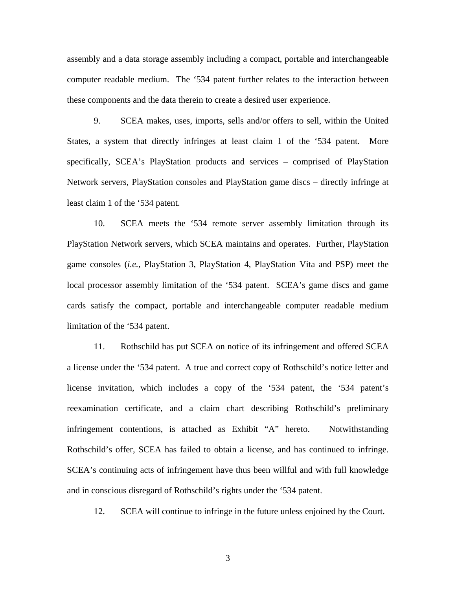assembly and a data storage assembly including a compact, portable and interchangeable computer readable medium. The '534 patent further relates to the interaction between these components and the data therein to create a desired user experience.

9. SCEA makes, uses, imports, sells and/or offers to sell, within the United States, a system that directly infringes at least claim 1 of the '534 patent. More specifically, SCEA's PlayStation products and services – comprised of PlayStation Network servers, PlayStation consoles and PlayStation game discs – directly infringe at least claim 1 of the '534 patent.

10. SCEA meets the '534 remote server assembly limitation through its PlayStation Network servers, which SCEA maintains and operates. Further, PlayStation game consoles (*i.e.,* PlayStation 3, PlayStation 4, PlayStation Vita and PSP) meet the local processor assembly limitation of the '534 patent. SCEA's game discs and game cards satisfy the compact, portable and interchangeable computer readable medium limitation of the '534 patent.

11. Rothschild has put SCEA on notice of its infringement and offered SCEA a license under the '534 patent. A true and correct copy of Rothschild's notice letter and license invitation, which includes a copy of the '534 patent, the '534 patent's reexamination certificate, and a claim chart describing Rothschild's preliminary infringement contentions, is attached as Exhibit "A" hereto. Notwithstanding Rothschild's offer, SCEA has failed to obtain a license, and has continued to infringe. SCEA's continuing acts of infringement have thus been willful and with full knowledge and in conscious disregard of Rothschild's rights under the '534 patent.

12. SCEA will continue to infringe in the future unless enjoined by the Court.

3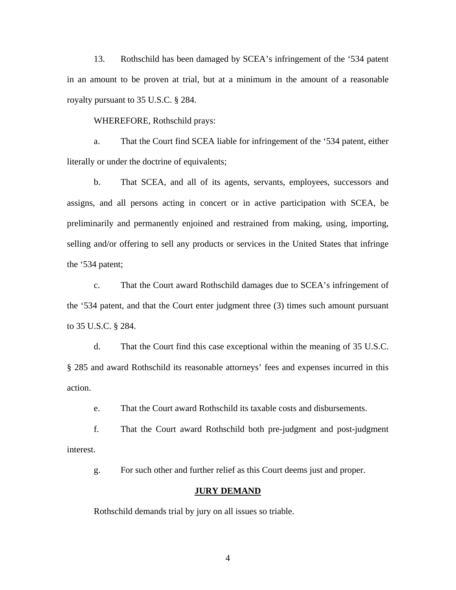13. Rothschild has been damaged by SCEA's infringement of the '534 patent in an amount to be proven at trial, but at a minimum in the amount of a reasonable royalty pursuant to 35 U.S.C. § 284.

WHEREFORE, Rothschild prays:

a. That the Court find SCEA liable for infringement of the '534 patent, either literally or under the doctrine of equivalents;

b. That SCEA, and all of its agents, servants, employees, successors and assigns, and all persons acting in concert or in active participation with SCEA, be preliminarily and permanently enjoined and restrained from making, using, importing, selling and/or offering to sell any products or services in the United States that infringe the '534 patent;

c. That the Court award Rothschild damages due to SCEA's infringement of the '534 patent, and that the Court enter judgment three (3) times such amount pursuant to 35 U.S.C. § 284.

d. That the Court find this case exceptional within the meaning of 35 U.S.C. § 285 and award Rothschild its reasonable attorneys' fees and expenses incurred in this action.

e. That the Court award Rothschild its taxable costs and disbursements.

f. That the Court award Rothschild both pre-judgment and post-judgment interest.

g. For such other and further relief as this Court deems just and proper.

### **JURY DEMAND**

Rothschild demands trial by jury on all issues so triable.

4